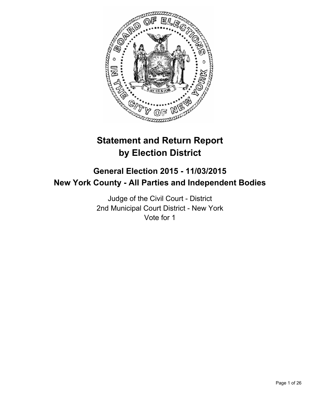

# **Statement and Return Report by Election District**

## **General Election 2015 - 11/03/2015 New York County - All Parties and Independent Bodies**

Judge of the Civil Court - District 2nd Municipal Court District - New York Vote for 1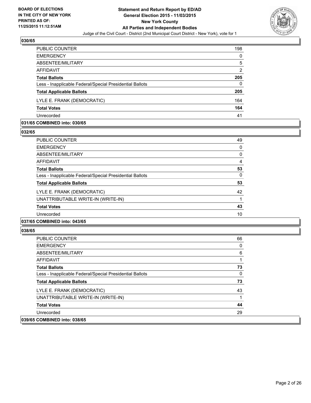

| PUBLIC COUNTER                                           | 198 |
|----------------------------------------------------------|-----|
| <b>EMERGENCY</b>                                         | 0   |
| ABSENTEE/MILITARY                                        | 5   |
| AFFIDAVIT                                                | 2   |
| <b>Total Ballots</b>                                     | 205 |
| Less - Inapplicable Federal/Special Presidential Ballots | 0   |
| <b>Total Applicable Ballots</b>                          | 205 |
| LYLE E. FRANK (DEMOCRATIC)                               | 164 |
| <b>Total Votes</b>                                       | 164 |
| Unrecorded                                               | 41  |

#### **031/65 COMBINED into: 030/65**

**032/65** 

| PUBLIC COUNTER                                           | 49 |
|----------------------------------------------------------|----|
| <b>EMERGENCY</b>                                         | 0  |
| ABSENTEE/MILITARY                                        | 0  |
| AFFIDAVIT                                                | 4  |
| <b>Total Ballots</b>                                     | 53 |
| Less - Inapplicable Federal/Special Presidential Ballots | 0  |
| <b>Total Applicable Ballots</b>                          | 53 |
| LYLE E. FRANK (DEMOCRATIC)                               | 42 |
| UNATTRIBUTABLE WRITE-IN (WRITE-IN)                       |    |
| <b>Total Votes</b>                                       | 43 |
| Unrecorded                                               | 10 |
|                                                          |    |

## **037/65 COMBINED into: 043/65**

| <b>PUBLIC COUNTER</b>                                    | 66 |
|----------------------------------------------------------|----|
| <b>EMERGENCY</b>                                         | 0  |
| ABSENTEE/MILITARY                                        | 6  |
| AFFIDAVIT                                                |    |
| <b>Total Ballots</b>                                     | 73 |
| Less - Inapplicable Federal/Special Presidential Ballots | 0  |
| <b>Total Applicable Ballots</b>                          | 73 |
| LYLE E. FRANK (DEMOCRATIC)                               | 43 |
| UNATTRIBUTABLE WRITE-IN (WRITE-IN)                       |    |
| <b>Total Votes</b>                                       | 44 |
| Unrecorded                                               | 29 |
| 039/65 COMBINED into: 038/65                             |    |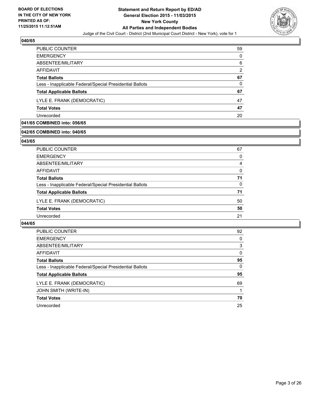

| <b>PUBLIC COUNTER</b>                                    | 59 |
|----------------------------------------------------------|----|
| <b>EMERGENCY</b>                                         | 0  |
| ABSENTEE/MILITARY                                        | 6  |
| AFFIDAVIT                                                | 2  |
| <b>Total Ballots</b>                                     | 67 |
| Less - Inapplicable Federal/Special Presidential Ballots | 0  |
| <b>Total Applicable Ballots</b>                          | 67 |
| LYLE E. FRANK (DEMOCRATIC)                               | 47 |
| <b>Total Votes</b>                                       | 47 |
| Unrecorded                                               | 20 |

## **041/65 COMBINED into: 056/65**

## **042/65 COMBINED into: 040/65**

#### **043/65**

| PUBLIC COUNTER                                           | 67       |
|----------------------------------------------------------|----------|
| <b>EMERGENCY</b>                                         | 0        |
| ABSENTEE/MILITARY                                        | 4        |
| <b>AFFIDAVIT</b>                                         | $\Omega$ |
| <b>Total Ballots</b>                                     | 71       |
| Less - Inapplicable Federal/Special Presidential Ballots | 0        |
| <b>Total Applicable Ballots</b>                          | 71       |
| LYLE E. FRANK (DEMOCRATIC)                               | 50       |
| <b>Total Votes</b>                                       | 50       |
| Unrecorded                                               | 21       |
|                                                          |          |

| <b>PUBLIC COUNTER</b>                                    | 92       |
|----------------------------------------------------------|----------|
| <b>EMERGENCY</b>                                         | 0        |
| ABSENTEE/MILITARY                                        | 3        |
| AFFIDAVIT                                                | 0        |
| <b>Total Ballots</b>                                     | 95       |
| Less - Inapplicable Federal/Special Presidential Ballots | $\Omega$ |
| <b>Total Applicable Ballots</b>                          | 95       |
| LYLE E. FRANK (DEMOCRATIC)                               | 69       |
| JOHN SMITH (WRITE-IN)                                    |          |
| <b>Total Votes</b>                                       | 70       |
| Unrecorded                                               | 25       |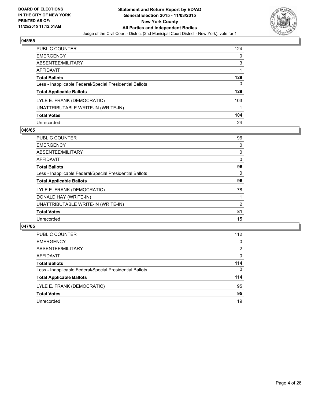

| PUBLIC COUNTER                                           | 124 |
|----------------------------------------------------------|-----|
| <b>EMERGENCY</b>                                         | 0   |
| ABSENTEE/MILITARY                                        | 3   |
| <b>AFFIDAVIT</b>                                         |     |
| <b>Total Ballots</b>                                     | 128 |
| Less - Inapplicable Federal/Special Presidential Ballots | 0   |
| <b>Total Applicable Ballots</b>                          | 128 |
| LYLE E. FRANK (DEMOCRATIC)                               | 103 |
| UNATTRIBUTABLE WRITE-IN (WRITE-IN)                       |     |
| <b>Total Votes</b>                                       | 104 |
| Unrecorded                                               | 24  |

### **046/65**

| <b>PUBLIC COUNTER</b>                                    | 96 |
|----------------------------------------------------------|----|
| <b>EMERGENCY</b>                                         | 0  |
| ABSENTEE/MILITARY                                        | 0  |
| AFFIDAVIT                                                | 0  |
| <b>Total Ballots</b>                                     | 96 |
| Less - Inapplicable Federal/Special Presidential Ballots | 0  |
| <b>Total Applicable Ballots</b>                          | 96 |
| LYLE E. FRANK (DEMOCRATIC)                               | 78 |
| DONALD HAY (WRITE-IN)                                    |    |
| UNATTRIBUTABLE WRITE-IN (WRITE-IN)                       | 2  |
| <b>Total Votes</b>                                       | 81 |
| Unrecorded                                               | 15 |
|                                                          |    |

| <b>PUBLIC COUNTER</b>                                    | 112      |
|----------------------------------------------------------|----------|
| <b>EMERGENCY</b>                                         | 0        |
| ABSENTEE/MILITARY                                        | 2        |
| AFFIDAVIT                                                | 0        |
| <b>Total Ballots</b>                                     | 114      |
| Less - Inapplicable Federal/Special Presidential Ballots | $\Omega$ |
| <b>Total Applicable Ballots</b>                          | 114      |
| LYLE E. FRANK (DEMOCRATIC)                               | 95       |
| <b>Total Votes</b>                                       | 95       |
| Unrecorded                                               | 19       |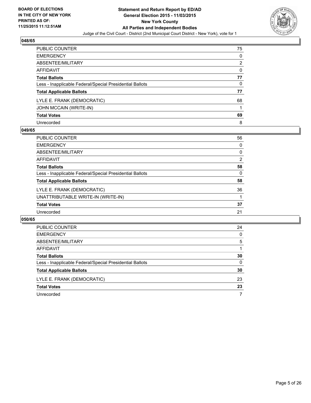

| PUBLIC COUNTER                                           | 75 |
|----------------------------------------------------------|----|
| <b>EMERGENCY</b>                                         | 0  |
| ABSENTEE/MILITARY                                        | 2  |
| <b>AFFIDAVIT</b>                                         | 0  |
| <b>Total Ballots</b>                                     | 77 |
| Less - Inapplicable Federal/Special Presidential Ballots | 0  |
| <b>Total Applicable Ballots</b>                          | 77 |
| LYLE E. FRANK (DEMOCRATIC)                               | 68 |
| JOHN MCCAIN (WRITE-IN)                                   |    |
| <b>Total Votes</b>                                       | 69 |
| Unrecorded                                               | 8  |

#### **049/65**

| <b>PUBLIC COUNTER</b>                                    | 56             |
|----------------------------------------------------------|----------------|
| <b>EMERGENCY</b>                                         | 0              |
| ABSENTEE/MILITARY                                        | 0              |
| AFFIDAVIT                                                | $\overline{2}$ |
| <b>Total Ballots</b>                                     | 58             |
| Less - Inapplicable Federal/Special Presidential Ballots | 0              |
| <b>Total Applicable Ballots</b>                          | 58             |
| LYLE E. FRANK (DEMOCRATIC)                               | 36             |
| UNATTRIBUTABLE WRITE-IN (WRITE-IN)                       |                |
| <b>Total Votes</b>                                       | 37             |
| Unrecorded                                               | 21             |

| PUBLIC COUNTER                                           | 24 |
|----------------------------------------------------------|----|
| <b>EMERGENCY</b>                                         | 0  |
| ABSENTEE/MILITARY                                        | 5  |
| AFFIDAVIT                                                |    |
| <b>Total Ballots</b>                                     | 30 |
| Less - Inapplicable Federal/Special Presidential Ballots | 0  |
| <b>Total Applicable Ballots</b>                          | 30 |
| LYLE E. FRANK (DEMOCRATIC)                               | 23 |
| <b>Total Votes</b>                                       | 23 |
| Unrecorded                                               |    |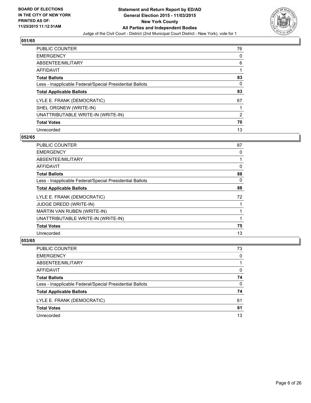

| <b>PUBLIC COUNTER</b>                                    | 76 |
|----------------------------------------------------------|----|
| <b>EMERGENCY</b>                                         | 0  |
| ABSENTEE/MILITARY                                        | 6  |
| <b>AFFIDAVIT</b>                                         |    |
| <b>Total Ballots</b>                                     | 83 |
| Less - Inapplicable Federal/Special Presidential Ballots | 0  |
| <b>Total Applicable Ballots</b>                          | 83 |
| LYLE E. FRANK (DEMOCRATIC)                               | 67 |
| SHEL ORGNEW (WRITE-IN)                                   |    |
| UNATTRIBUTABLE WRITE-IN (WRITE-IN)                       | 2  |
| <b>Total Votes</b>                                       | 70 |
| Unrecorded                                               | 13 |

#### **052/65**

| <b>PUBLIC COUNTER</b>                                    | 87 |
|----------------------------------------------------------|----|
| <b>EMERGENCY</b>                                         | 0  |
| ABSENTEE/MILITARY                                        |    |
| AFFIDAVIT                                                | 0  |
| <b>Total Ballots</b>                                     | 88 |
| Less - Inapplicable Federal/Special Presidential Ballots | 0  |
| <b>Total Applicable Ballots</b>                          | 88 |
| LYLE E. FRANK (DEMOCRATIC)                               | 72 |
| <b>JUDGE DREDD (WRITE-IN)</b>                            |    |
| MARTIN VAN RUBEN (WRITE-IN)                              |    |
| UNATTRIBUTABLE WRITE-IN (WRITE-IN)                       |    |
| <b>Total Votes</b>                                       | 75 |
| Unrecorded                                               | 13 |

| PUBLIC COUNTER                                           | 73 |
|----------------------------------------------------------|----|
| <b>EMERGENCY</b>                                         | 0  |
| ABSENTEE/MILITARY                                        |    |
| AFFIDAVIT                                                | 0  |
| <b>Total Ballots</b>                                     | 74 |
| Less - Inapplicable Federal/Special Presidential Ballots | 0  |
| <b>Total Applicable Ballots</b>                          | 74 |
| LYLE E. FRANK (DEMOCRATIC)                               | 61 |
| <b>Total Votes</b>                                       | 61 |
| Unrecorded                                               | 13 |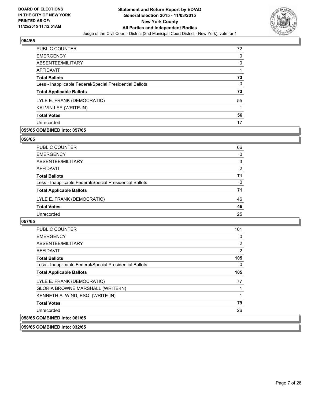

| <b>PUBLIC COUNTER</b>                                    | 72 |
|----------------------------------------------------------|----|
| <b>EMERGENCY</b>                                         | 0  |
| ABSENTEE/MILITARY                                        | 0  |
| AFFIDAVIT                                                |    |
| <b>Total Ballots</b>                                     | 73 |
| Less - Inapplicable Federal/Special Presidential Ballots | 0  |
| <b>Total Applicable Ballots</b>                          | 73 |
| LYLE E. FRANK (DEMOCRATIC)                               | 55 |
| KALVIN LEE (WRITE-IN)                                    |    |
| <b>Total Votes</b>                                       | 56 |
| Unrecorded                                               | 17 |

## **055/65 COMBINED into: 057/65**

#### **056/65**

| PUBLIC COUNTER                                           | 66       |
|----------------------------------------------------------|----------|
| <b>EMERGENCY</b>                                         | 0        |
| ABSENTEE/MILITARY                                        | 3        |
| <b>AFFIDAVIT</b>                                         | 2        |
| <b>Total Ballots</b>                                     | 71       |
| Less - Inapplicable Federal/Special Presidential Ballots | $\Omega$ |
| <b>Total Applicable Ballots</b>                          | 71       |
| LYLE E. FRANK (DEMOCRATIC)                               | 46       |
| <b>Total Votes</b>                                       | 46       |
| Unrecorded                                               | 25       |
|                                                          |          |

#### **057/65**

| <b>PUBLIC COUNTER</b>                                    | 101 |
|----------------------------------------------------------|-----|
| <b>EMERGENCY</b>                                         | 0   |
| ABSENTEE/MILITARY                                        | 2   |
| AFFIDAVIT                                                | 2   |
| <b>Total Ballots</b>                                     | 105 |
| Less - Inapplicable Federal/Special Presidential Ballots | 0   |
| <b>Total Applicable Ballots</b>                          | 105 |
| LYLE E. FRANK (DEMOCRATIC)                               | 77  |
| <b>GLORIA BROWNE MARSHALL (WRITE-IN)</b>                 |     |
| KENNETH A. WIND, ESQ. (WRITE-IN)                         | 1   |
| <b>Total Votes</b>                                       | 79  |
| Unrecorded                                               | 26  |
| 058/65 COMBINED into: 061/65                             |     |

**059/65 COMBINED into: 032/65**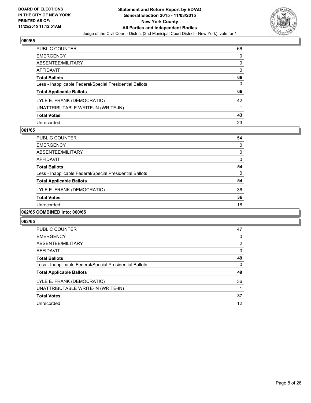

| PUBLIC COUNTER                                           | 66 |
|----------------------------------------------------------|----|
| <b>EMERGENCY</b>                                         | 0  |
| ABSENTEE/MILITARY                                        | 0  |
| AFFIDAVIT                                                | 0  |
| <b>Total Ballots</b>                                     | 66 |
| Less - Inapplicable Federal/Special Presidential Ballots | 0  |
| <b>Total Applicable Ballots</b>                          | 66 |
| LYLE E. FRANK (DEMOCRATIC)                               | 42 |
| UNATTRIBUTABLE WRITE-IN (WRITE-IN)                       |    |
| <b>Total Votes</b>                                       | 43 |
| Unrecorded                                               | 23 |

#### **061/65**

| <b>PUBLIC COUNTER</b>                                    | 54 |
|----------------------------------------------------------|----|
| <b>EMERGENCY</b>                                         | 0  |
| ABSENTEE/MILITARY                                        | 0  |
| AFFIDAVIT                                                | 0  |
| <b>Total Ballots</b>                                     | 54 |
| Less - Inapplicable Federal/Special Presidential Ballots | 0  |
| <b>Total Applicable Ballots</b>                          | 54 |
| LYLE E. FRANK (DEMOCRATIC)                               | 36 |
| <b>Total Votes</b>                                       | 36 |
| Unrecorded                                               | 18 |
|                                                          |    |

### **062/65 COMBINED into: 060/65**

| <b>PUBLIC COUNTER</b>                                    | 47 |
|----------------------------------------------------------|----|
| <b>EMERGENCY</b>                                         | 0  |
| ABSENTEE/MILITARY                                        | 2  |
| AFFIDAVIT                                                | 0  |
| <b>Total Ballots</b>                                     | 49 |
| Less - Inapplicable Federal/Special Presidential Ballots | 0  |
| <b>Total Applicable Ballots</b>                          | 49 |
| LYLE E. FRANK (DEMOCRATIC)                               | 36 |
| UNATTRIBUTABLE WRITE-IN (WRITE-IN)                       |    |
| <b>Total Votes</b>                                       | 37 |
| Unrecorded                                               | 12 |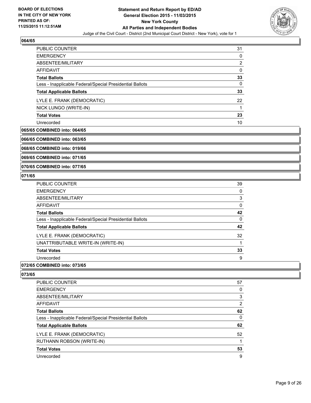

| <b>PUBLIC COUNTER</b>                                    | 31 |
|----------------------------------------------------------|----|
| <b>EMERGENCY</b>                                         | 0  |
| ABSENTEE/MILITARY                                        | 2  |
| AFFIDAVIT                                                | 0  |
| <b>Total Ballots</b>                                     | 33 |
| Less - Inapplicable Federal/Special Presidential Ballots | 0  |
| <b>Total Applicable Ballots</b>                          | 33 |
| LYLE E. FRANK (DEMOCRATIC)                               | 22 |
| NICK LUNGO (WRITE-IN)                                    |    |
| <b>Total Votes</b>                                       | 23 |
| Unrecorded                                               | 10 |

#### **065/65 COMBINED into: 064/65**

**066/65 COMBINED into: 063/65**

**068/65 COMBINED into: 019/66**

**069/65 COMBINED into: 071/65**

**070/65 COMBINED into: 077/65**

#### **071/65**

| PUBLIC COUNTER                                           | 39 |
|----------------------------------------------------------|----|
| <b>EMERGENCY</b>                                         | 0  |
| ABSENTEE/MILITARY                                        | 3  |
| AFFIDAVIT                                                | 0  |
| <b>Total Ballots</b>                                     | 42 |
| Less - Inapplicable Federal/Special Presidential Ballots | 0  |
| <b>Total Applicable Ballots</b>                          | 42 |
| LYLE E. FRANK (DEMOCRATIC)                               | 32 |
| UNATTRIBUTABLE WRITE-IN (WRITE-IN)                       |    |
| <b>Total Votes</b>                                       | 33 |
| Unrecorded                                               | 9  |
|                                                          |    |

## **072/65 COMBINED into: 073/65**

| PUBLIC COUNTER                                           | 57 |
|----------------------------------------------------------|----|
| <b>EMERGENCY</b>                                         | 0  |
| ABSENTEE/MILITARY                                        | 3  |
| AFFIDAVIT                                                | 2  |
| <b>Total Ballots</b>                                     | 62 |
| Less - Inapplicable Federal/Special Presidential Ballots | 0  |
| <b>Total Applicable Ballots</b>                          | 62 |
| LYLE E. FRANK (DEMOCRATIC)                               | 52 |
| RUTHANN ROBSON (WRITE-IN)                                |    |
| <b>Total Votes</b>                                       | 53 |
| Unrecorded                                               | 9  |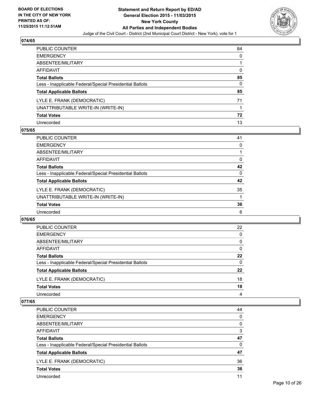

| PUBLIC COUNTER                                           | 84 |
|----------------------------------------------------------|----|
| EMERGENCY                                                | 0  |
| ABSENTEE/MILITARY                                        |    |
| AFFIDAVIT                                                | 0  |
| Total Ballots                                            | 85 |
| Less - Inapplicable Federal/Special Presidential Ballots | 0  |
| <b>Total Applicable Ballots</b>                          | 85 |
| LYLE E. FRANK (DEMOCRATIC)                               | 71 |
| UNATTRIBUTABLE WRITE-IN (WRITE-IN)                       |    |
| Total Votes                                              | 72 |
| Unrecorded                                               | 13 |

#### **075/65**

| <b>PUBLIC COUNTER</b>                                    | 41       |
|----------------------------------------------------------|----------|
| <b>EMERGENCY</b>                                         | 0        |
| ABSENTEE/MILITARY                                        |          |
| <b>AFFIDAVIT</b>                                         | 0        |
| <b>Total Ballots</b>                                     | 42       |
| Less - Inapplicable Federal/Special Presidential Ballots | $\Omega$ |
| <b>Total Applicable Ballots</b>                          | 42       |
| LYLE E. FRANK (DEMOCRATIC)                               | 35       |
| UNATTRIBUTABLE WRITE-IN (WRITE-IN)                       |          |
| <b>Total Votes</b>                                       | 36       |
| Unrecorded                                               | 6        |

#### **076/65**

| PUBLIC COUNTER                                           | 22 |
|----------------------------------------------------------|----|
| <b>EMERGENCY</b>                                         | 0  |
| ABSENTEE/MILITARY                                        | 0  |
| AFFIDAVIT                                                | 0  |
| <b>Total Ballots</b>                                     | 22 |
| Less - Inapplicable Federal/Special Presidential Ballots | 0  |
| <b>Total Applicable Ballots</b>                          | 22 |
| LYLE E. FRANK (DEMOCRATIC)                               | 18 |
| <b>Total Votes</b>                                       | 18 |
| Unrecorded                                               | 4  |

| PUBLIC COUNTER                                           | 44       |
|----------------------------------------------------------|----------|
| <b>EMERGENCY</b>                                         | $\Omega$ |
| ABSENTEE/MILITARY                                        | 0        |
| AFFIDAVIT                                                | 3        |
| <b>Total Ballots</b>                                     | 47       |
| Less - Inapplicable Federal/Special Presidential Ballots | 0        |
| <b>Total Applicable Ballots</b>                          | 47       |
| LYLE E. FRANK (DEMOCRATIC)                               | 36       |
| <b>Total Votes</b>                                       | 36       |
| Unrecorded                                               | 11       |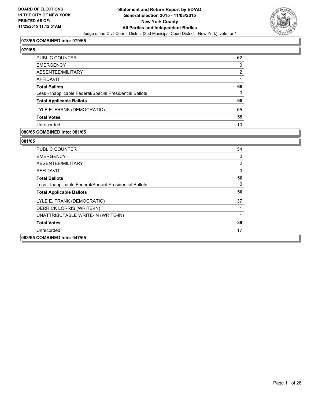

#### **078/65 COMBINED into: 079/65**

|--|--|

| PUBLIC COUNTER                                           | 62             |
|----------------------------------------------------------|----------------|
| EMERGENCY                                                | $\mathbf{0}$   |
| ABSENTEE/MILITARY                                        | $\overline{2}$ |
| AFFIDAVIT                                                |                |
| Total Ballots                                            | 65             |
| Less - Inapplicable Federal/Special Presidential Ballots | $\mathbf{0}$   |
| <b>Total Applicable Ballots</b>                          | 65             |
| LYLE E. FRANK (DEMOCRATIC)                               | 55             |
| <b>Total Votes</b>                                       | 55             |
| Unrecorded                                               | 10             |

#### **080/65 COMBINED into: 081/65**

| <b>PUBLIC COUNTER</b>                                    | 54           |
|----------------------------------------------------------|--------------|
| <b>EMERGENCY</b>                                         | 0            |
| ABSENTEE/MILITARY                                        | 2            |
| <b>AFFIDAVIT</b>                                         | $\mathbf{0}$ |
| <b>Total Ballots</b>                                     | 56           |
| Less - Inapplicable Federal/Special Presidential Ballots | 0            |
| <b>Total Applicable Ballots</b>                          | 56           |
| LYLE E. FRANK (DEMOCRATIC)                               | 37           |
| DERRICK LORRIS (WRITE-IN)                                |              |
| UNATTRIBUTABLE WRITE-IN (WRITE-IN)                       |              |
| <b>Total Votes</b>                                       | 39           |
| Unrecorded                                               | 17           |
| 083/65 COMBINED into: 047/65                             |              |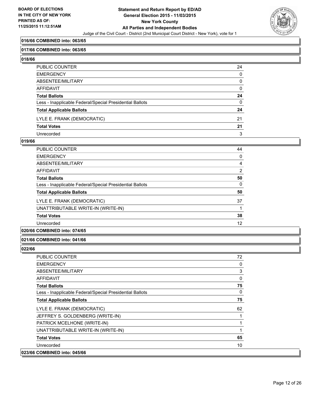

#### **016/66 COMBINED into: 063/65**

#### **017/66 COMBINED into: 063/65**

**018/66** 

| PUBLIC COUNTER                                           | 24           |
|----------------------------------------------------------|--------------|
| EMERGENCY                                                | $\mathbf{0}$ |
| ABSENTEE/MILITARY                                        | 0            |
| AFFIDAVIT                                                | 0            |
| Total Ballots                                            | 24           |
| Less - Inapplicable Federal/Special Presidential Ballots | 0            |
| <b>Total Applicable Ballots</b>                          | 24           |
| LYLE E. FRANK (DEMOCRATIC)                               | 21           |
| <b>Total Votes</b>                                       | 21           |
| Unrecorded                                               | 3            |

#### **019/66**

| <b>PUBLIC COUNTER</b>                                    | 44 |
|----------------------------------------------------------|----|
| <b>EMERGENCY</b>                                         | 0  |
| ABSENTEE/MILITARY                                        | 4  |
| <b>AFFIDAVIT</b>                                         | 2  |
| <b>Total Ballots</b>                                     | 50 |
| Less - Inapplicable Federal/Special Presidential Ballots | 0  |
| <b>Total Applicable Ballots</b>                          | 50 |
| LYLE E. FRANK (DEMOCRATIC)                               | 37 |
| UNATTRIBUTABLE WRITE-IN (WRITE-IN)                       | 1  |
| <b>Total Votes</b>                                       | 38 |
| Unrecorded                                               | 12 |
|                                                          |    |

## **020/66 COMBINED into: 074/65**

#### **021/66 COMBINED into: 041/66**

| <b>PUBLIC COUNTER</b>                                    | 72           |
|----------------------------------------------------------|--------------|
| <b>EMERGENCY</b>                                         | 0            |
| ABSENTEE/MILITARY                                        | 3            |
| AFFIDAVIT                                                | $\mathbf{0}$ |
| <b>Total Ballots</b>                                     | 75           |
| Less - Inapplicable Federal/Special Presidential Ballots | $\mathbf{0}$ |
| <b>Total Applicable Ballots</b>                          | 75           |
| LYLE E. FRANK (DEMOCRATIC)                               | 62           |
| JEFFREY S. GOLDENBERG (WRITE-IN)                         |              |
| PATRICK MCELHONE (WRITE-IN)                              |              |
| UNATTRIBUTABLE WRITE-IN (WRITE-IN)                       |              |
| <b>Total Votes</b>                                       | 65           |
| Unrecorded                                               | 10           |
| 023/66 COMBINED into: 045/66                             |              |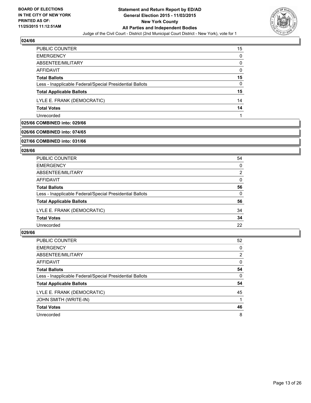

| <b>PUBLIC COUNTER</b>                                    | 15 |
|----------------------------------------------------------|----|
| <b>EMERGENCY</b>                                         | 0  |
| ABSENTEE/MILITARY                                        | 0  |
| AFFIDAVIT                                                | 0  |
| <b>Total Ballots</b>                                     | 15 |
| Less - Inapplicable Federal/Special Presidential Ballots | 0  |
| <b>Total Applicable Ballots</b>                          | 15 |
| LYLE E. FRANK (DEMOCRATIC)                               | 14 |
| <b>Total Votes</b>                                       | 14 |
| Unrecorded                                               |    |

## **025/66 COMBINED into: 029/66**

#### **026/66 COMBINED into: 074/65**

#### **027/66 COMBINED into: 031/66**

#### **028/66**

| <b>Total Applicable Ballots</b>                          | 56       |
|----------------------------------------------------------|----------|
| Less - Inapplicable Federal/Special Presidential Ballots | $\Omega$ |
| <b>Total Ballots</b>                                     | 56       |
| <b>AFFIDAVIT</b>                                         | $\Omega$ |
| ABSENTEE/MILITARY                                        | 2        |
| <b>EMERGENCY</b>                                         | $\Omega$ |
| PUBLIC COUNTER                                           | 54       |

| <b>PUBLIC COUNTER</b>                                    | 52 |
|----------------------------------------------------------|----|
| <b>EMERGENCY</b>                                         | 0  |
| ABSENTEE/MILITARY                                        | 2  |
| AFFIDAVIT                                                | 0  |
| <b>Total Ballots</b>                                     | 54 |
| Less - Inapplicable Federal/Special Presidential Ballots | 0  |
| <b>Total Applicable Ballots</b>                          | 54 |
| LYLE E. FRANK (DEMOCRATIC)                               | 45 |
| JOHN SMITH (WRITE-IN)                                    |    |
| <b>Total Votes</b>                                       | 46 |
| Unrecorded                                               | 8  |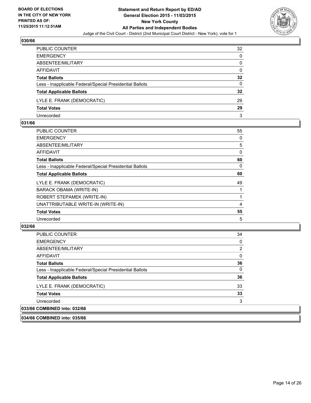

| PUBLIC COUNTER                                           | 32              |
|----------------------------------------------------------|-----------------|
| <b>EMERGENCY</b>                                         | $\Omega$        |
| ABSENTEE/MILITARY                                        | 0               |
| AFFIDAVIT                                                | 0               |
| <b>Total Ballots</b>                                     | 32              |
| Less - Inapplicable Federal/Special Presidential Ballots | 0               |
| <b>Total Applicable Ballots</b>                          | $32\phantom{a}$ |
| LYLE E. FRANK (DEMOCRATIC)                               | 29              |
| <b>Total Votes</b>                                       | 29              |
| Unrecorded                                               | 3               |

#### **031/66**

| PUBLIC COUNTER                                           | 55 |
|----------------------------------------------------------|----|
| <b>EMERGENCY</b>                                         | 0  |
| ABSENTEE/MILITARY                                        | 5  |
| AFFIDAVIT                                                | 0  |
| <b>Total Ballots</b>                                     | 60 |
| Less - Inapplicable Federal/Special Presidential Ballots | 0  |
| <b>Total Applicable Ballots</b>                          | 60 |
| LYLE E. FRANK (DEMOCRATIC)                               | 49 |
| BARACK OBAMA (WRITE-IN)                                  |    |
| ROBERT STEPAMEK (WRITE-IN)                               |    |
| UNATTRIBUTABLE WRITE-IN (WRITE-IN)                       | 4  |
| <b>Total Votes</b>                                       | 55 |
| Unrecorded                                               | 5  |
|                                                          |    |

## **032/66**

| <b>PUBLIC COUNTER</b>                                    | 34       |
|----------------------------------------------------------|----------|
| <b>EMERGENCY</b>                                         | 0        |
| ABSENTEE/MILITARY                                        | 2        |
| AFFIDAVIT                                                | 0        |
| <b>Total Ballots</b>                                     | 36       |
| Less - Inapplicable Federal/Special Presidential Ballots | $\Omega$ |
| <b>Total Applicable Ballots</b>                          | 36       |
| LYLE E. FRANK (DEMOCRATIC)                               | 33       |
| <b>Total Votes</b>                                       | 33       |
| Unrecorded                                               | 3        |
| 033/66 COMBINED into: 032/66                             |          |

**034/66 COMBINED into: 035/66**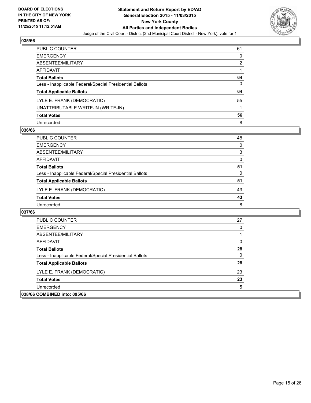

| PUBLIC COUNTER                                           | 61 |
|----------------------------------------------------------|----|
| <b>EMERGENCY</b>                                         | 0  |
| ABSENTEE/MILITARY                                        | 2  |
| <b>AFFIDAVIT</b>                                         |    |
| <b>Total Ballots</b>                                     | 64 |
| Less - Inapplicable Federal/Special Presidential Ballots | 0  |
| <b>Total Applicable Ballots</b>                          | 64 |
| LYLE E. FRANK (DEMOCRATIC)                               | 55 |
| UNATTRIBUTABLE WRITE-IN (WRITE-IN)                       |    |
| <b>Total Votes</b>                                       | 56 |
| Unrecorded                                               | 8  |

#### **036/66**

| PUBLIC COUNTER                                           | 48 |
|----------------------------------------------------------|----|
| <b>EMERGENCY</b>                                         | 0  |
| ABSENTEE/MILITARY                                        | 3  |
| AFFIDAVIT                                                | 0  |
| <b>Total Ballots</b>                                     | 51 |
| Less - Inapplicable Federal/Special Presidential Ballots | 0  |
| <b>Total Applicable Ballots</b>                          | 51 |
| LYLE E. FRANK (DEMOCRATIC)                               | 43 |
| <b>Total Votes</b>                                       | 43 |
| Unrecorded                                               | 8  |

| <b>PUBLIC COUNTER</b>                                    | 27       |
|----------------------------------------------------------|----------|
| <b>EMERGENCY</b>                                         |          |
| ABSENTEE/MILITARY                                        |          |
| AFFIDAVIT                                                | 0        |
| <b>Total Ballots</b>                                     | 28       |
| Less - Inapplicable Federal/Special Presidential Ballots | $\Omega$ |
| <b>Total Applicable Ballots</b>                          | 28       |
| LYLE E. FRANK (DEMOCRATIC)                               | 23       |
| <b>Total Votes</b>                                       | 23       |
| Unrecorded                                               | 5        |
| 038/66 COMBINED into: 095/66                             |          |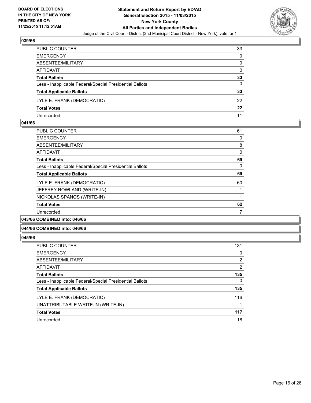

| PUBLIC COUNTER                                           | 33       |
|----------------------------------------------------------|----------|
| <b>EMERGENCY</b>                                         | $\Omega$ |
| ABSENTEE/MILITARY                                        | 0        |
| AFFIDAVIT                                                | 0        |
| <b>Total Ballots</b>                                     | 33       |
| Less - Inapplicable Federal/Special Presidential Ballots | 0        |
| <b>Total Applicable Ballots</b>                          | 33       |
| LYLE E. FRANK (DEMOCRATIC)                               | 22       |
| <b>Total Votes</b>                                       | $22\,$   |
| Unrecorded                                               | 11       |

#### **041/66**

| <b>PUBLIC COUNTER</b>                                    | 61 |
|----------------------------------------------------------|----|
| <b>EMERGENCY</b>                                         | 0  |
| ABSENTEE/MILITARY                                        | 8  |
| AFFIDAVIT                                                | 0  |
| <b>Total Ballots</b>                                     | 69 |
| Less - Inapplicable Federal/Special Presidential Ballots | 0  |
| <b>Total Applicable Ballots</b>                          | 69 |
| LYLE E. FRANK (DEMOCRATIC)                               | 60 |
| JEFFREY ROWLAND (WRITE-IN)                               |    |
| NICKOLAS SPANOS (WRITE-IN)                               |    |
| <b>Total Votes</b>                                       | 62 |
| Unrecorded                                               | 7  |
|                                                          |    |

#### **043/66 COMBINED into: 046/66**

#### **044/66 COMBINED into: 046/66**

| <b>PUBLIC COUNTER</b>                                    | 131            |
|----------------------------------------------------------|----------------|
| <b>EMERGENCY</b>                                         | 0              |
| ABSENTEE/MILITARY                                        | $\overline{2}$ |
| <b>AFFIDAVIT</b>                                         | $\overline{2}$ |
| <b>Total Ballots</b>                                     | 135            |
| Less - Inapplicable Federal/Special Presidential Ballots | 0              |
| <b>Total Applicable Ballots</b>                          | 135            |
| LYLE E. FRANK (DEMOCRATIC)                               | 116            |
| UNATTRIBUTABLE WRITE-IN (WRITE-IN)                       | 1              |
| <b>Total Votes</b>                                       | 117            |
| Unrecorded                                               | 18             |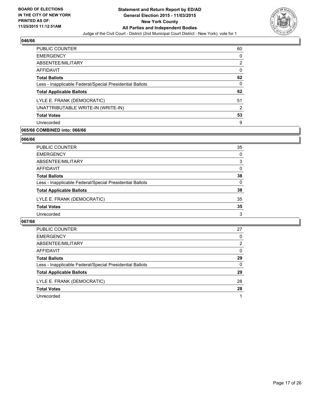

| <b>PUBLIC COUNTER</b>                                    | 60 |
|----------------------------------------------------------|----|
| <b>EMERGENCY</b>                                         | 0  |
| ABSENTEE/MILITARY                                        | 2  |
| AFFIDAVIT                                                | 0  |
| <b>Total Ballots</b>                                     | 62 |
| Less - Inapplicable Federal/Special Presidential Ballots | 0  |
| <b>Total Applicable Ballots</b>                          | 62 |
| LYLE E. FRANK (DEMOCRATIC)                               | 51 |
| UNATTRIBUTABLE WRITE-IN (WRITE-IN)                       | 2  |
| <b>Total Votes</b>                                       | 53 |
| Unrecorded                                               | 9  |

## **065/66 COMBINED into: 066/66**

#### **066/66**

| PUBLIC COUNTER                                           | 35           |
|----------------------------------------------------------|--------------|
| <b>EMERGENCY</b>                                         | 0            |
| ABSENTEE/MILITARY                                        | 3            |
| <b>AFFIDAVIT</b>                                         | $\Omega$     |
| <b>Total Ballots</b>                                     | 38           |
| Less - Inapplicable Federal/Special Presidential Ballots | $\mathbf{0}$ |
| <b>Total Applicable Ballots</b>                          | 38           |
| LYLE E. FRANK (DEMOCRATIC)                               | 35           |
| <b>Total Votes</b>                                       | 35           |
| Unrecorded                                               | 3            |

| <b>PUBLIC COUNTER</b>                                    | 27       |
|----------------------------------------------------------|----------|
| <b>EMERGENCY</b>                                         | $\Omega$ |
| ABSENTEE/MILITARY                                        | 2        |
| AFFIDAVIT                                                | 0        |
| <b>Total Ballots</b>                                     | 29       |
| Less - Inapplicable Federal/Special Presidential Ballots | $\Omega$ |
| <b>Total Applicable Ballots</b>                          | 29       |
| LYLE E. FRANK (DEMOCRATIC)                               | 28       |
| <b>Total Votes</b>                                       | 28       |
| Unrecorded                                               |          |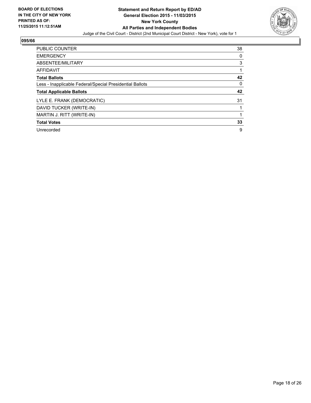

| <b>PUBLIC COUNTER</b>                                    | 38 |
|----------------------------------------------------------|----|
| <b>EMERGENCY</b>                                         | 0  |
| ABSENTEE/MILITARY                                        | 3  |
| AFFIDAVIT                                                |    |
| <b>Total Ballots</b>                                     | 42 |
| Less - Inapplicable Federal/Special Presidential Ballots | 0  |
|                                                          |    |
| <b>Total Applicable Ballots</b>                          | 42 |
| LYLE E. FRANK (DEMOCRATIC)                               | 31 |
| DAVID TUCKER (WRITE-IN)                                  |    |
| MARTIN J. RITT (WRITE-IN)                                |    |
| <b>Total Votes</b>                                       | 33 |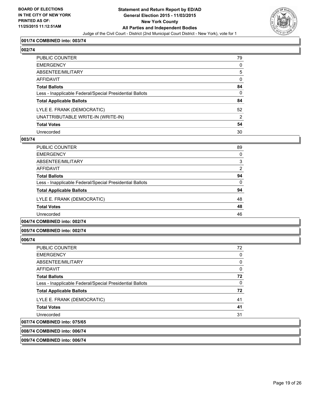

#### **001/74 COMBINED into: 003/74**

## **002/74**

| PUBLIC COUNTER                                           | 79           |
|----------------------------------------------------------|--------------|
| EMERGENCY                                                | $\mathbf{0}$ |
| ABSENTEE/MILITARY                                        | 5            |
| AFFIDAVIT                                                | 0            |
| Total Ballots                                            | 84           |
| Less - Inapplicable Federal/Special Presidential Ballots | $\mathbf{0}$ |
| <b>Total Applicable Ballots</b>                          | 84           |
| LYLE E. FRANK (DEMOCRATIC)                               | 52           |
| UNATTRIBUTABLE WRITE-IN (WRITE-IN)                       | 2            |
| <b>Total Votes</b>                                       | 54           |
| Unrecorded                                               | 30           |

#### **003/74**

| PUBLIC COUNTER                                           | 89 |
|----------------------------------------------------------|----|
| <b>EMERGENCY</b>                                         | 0  |
| ABSENTEE/MILITARY                                        | 3  |
| AFFIDAVIT                                                | 2  |
| <b>Total Ballots</b>                                     | 94 |
| Less - Inapplicable Federal/Special Presidential Ballots | 0  |
| <b>Total Applicable Ballots</b>                          | 94 |
| LYLE E. FRANK (DEMOCRATIC)                               | 48 |
| <b>Total Votes</b>                                       | 48 |
| Unrecorded                                               | 46 |
|                                                          |    |

## **004/74 COMBINED into: 002/74**

#### **005/74 COMBINED into: 002/74**

#### **006/74**

| <b>PUBLIC COUNTER</b>                                    | 72 |
|----------------------------------------------------------|----|
| <b>EMERGENCY</b>                                         | 0  |
| ABSENTEE/MILITARY                                        | 0  |
| AFFIDAVIT                                                | 0  |
| <b>Total Ballots</b>                                     | 72 |
| Less - Inapplicable Federal/Special Presidential Ballots | 0  |
| <b>Total Applicable Ballots</b>                          | 72 |
| LYLE E. FRANK (DEMOCRATIC)                               | 41 |
| <b>Total Votes</b>                                       | 41 |
| Unrecorded                                               | 31 |
| 007/74 COMBINED into: 075/65                             |    |

#### **008/74 COMBINED into: 006/74**

#### **009/74 COMBINED into: 006/74**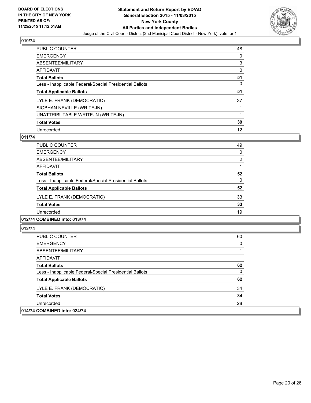

| <b>PUBLIC COUNTER</b>                                    | 48 |
|----------------------------------------------------------|----|
| <b>EMERGENCY</b>                                         | 0  |
| ABSENTEE/MILITARY                                        | 3  |
| <b>AFFIDAVIT</b>                                         | 0  |
| <b>Total Ballots</b>                                     | 51 |
| Less - Inapplicable Federal/Special Presidential Ballots | 0  |
| <b>Total Applicable Ballots</b>                          | 51 |
| LYLE E. FRANK (DEMOCRATIC)                               | 37 |
| SIOBHAN NEVILLE (WRITE-IN)                               |    |
| UNATTRIBUTABLE WRITE-IN (WRITE-IN)                       |    |
| <b>Total Votes</b>                                       | 39 |
| Unrecorded                                               | 12 |

### **011/74**

| PUBLIC COUNTER                                           | 49             |
|----------------------------------------------------------|----------------|
| <b>EMERGENCY</b>                                         | 0              |
| ABSENTEE/MILITARY                                        | $\overline{2}$ |
| AFFIDAVIT                                                |                |
| <b>Total Ballots</b>                                     | 52             |
| Less - Inapplicable Federal/Special Presidential Ballots | 0              |
| <b>Total Applicable Ballots</b>                          | 52             |
| LYLE E. FRANK (DEMOCRATIC)                               | 33             |
| <b>Total Votes</b>                                       | 33             |
| Unrecorded                                               | 19             |
|                                                          |                |

## **012/74 COMBINED into: 013/74**

| <b>PUBLIC COUNTER</b>                                    | 60 |
|----------------------------------------------------------|----|
| <b>EMERGENCY</b>                                         | 0  |
| ABSENTEE/MILITARY                                        |    |
| AFFIDAVIT                                                |    |
| <b>Total Ballots</b>                                     | 62 |
| Less - Inapplicable Federal/Special Presidential Ballots | 0  |
| <b>Total Applicable Ballots</b>                          | 62 |
| LYLE E. FRANK (DEMOCRATIC)                               | 34 |
| <b>Total Votes</b>                                       | 34 |
| Unrecorded                                               | 28 |
| 014/74 COMBINED into: 024/74                             |    |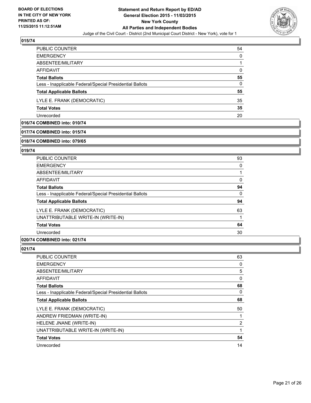

| <b>PUBLIC COUNTER</b>                                    | 54 |
|----------------------------------------------------------|----|
| <b>EMERGENCY</b>                                         | 0  |
| ABSENTEE/MILITARY                                        |    |
| AFFIDAVIT                                                | 0  |
| <b>Total Ballots</b>                                     | 55 |
| Less - Inapplicable Federal/Special Presidential Ballots | 0  |
| <b>Total Applicable Ballots</b>                          | 55 |
| LYLE E. FRANK (DEMOCRATIC)                               | 35 |
| <b>Total Votes</b>                                       | 35 |
| Unrecorded                                               | 20 |

## **016/74 COMBINED into: 010/74**

#### **017/74 COMBINED into: 015/74**

#### **018/74 COMBINED into: 079/65**

#### **019/74**

| PUBLIC COUNTER                                           | 93 |
|----------------------------------------------------------|----|
| <b>EMERGENCY</b>                                         | 0  |
| ABSENTEE/MILITARY                                        |    |
| AFFIDAVIT                                                | 0  |
| <b>Total Ballots</b>                                     | 94 |
| Less - Inapplicable Federal/Special Presidential Ballots | 0  |
| <b>Total Applicable Ballots</b>                          | 94 |
| LYLE E. FRANK (DEMOCRATIC)                               | 63 |
| UNATTRIBUTABLE WRITE-IN (WRITE-IN)                       |    |
| <b>Total Votes</b>                                       | 64 |
| Unrecorded                                               | 30 |
|                                                          |    |

## **020/74 COMBINED into: 021/74**

| <b>PUBLIC COUNTER</b>                                    | 63             |
|----------------------------------------------------------|----------------|
| <b>EMERGENCY</b>                                         | 0              |
| ABSENTEE/MILITARY                                        | 5              |
| <b>AFFIDAVIT</b>                                         | 0              |
| <b>Total Ballots</b>                                     | 68             |
| Less - Inapplicable Federal/Special Presidential Ballots | 0              |
| <b>Total Applicable Ballots</b>                          | 68             |
| LYLE E. FRANK (DEMOCRATIC)                               | 50             |
| ANDREW FRIEDMAN (WRITE-IN)                               |                |
| HELENE JNANE (WRITE-IN)                                  | $\overline{2}$ |
| UNATTRIBUTABLE WRITE-IN (WRITE-IN)                       |                |
| <b>Total Votes</b>                                       | 54             |
| Unrecorded                                               | 14             |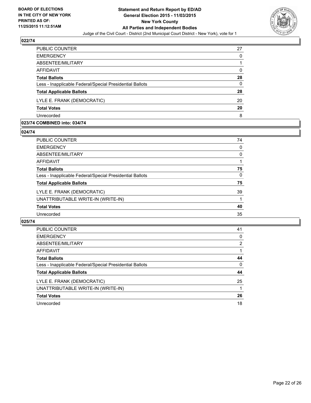

| PUBLIC COUNTER                                           | 27       |
|----------------------------------------------------------|----------|
| <b>EMERGENCY</b>                                         | 0        |
| ABSENTEE/MILITARY                                        |          |
| <b>AFFIDAVIT</b>                                         | 0        |
| <b>Total Ballots</b>                                     | 28       |
| Less - Inapplicable Federal/Special Presidential Ballots | $\Omega$ |
| <b>Total Applicable Ballots</b>                          | 28       |
| LYLE E. FRANK (DEMOCRATIC)                               | 20       |
| <b>Total Votes</b>                                       | 20       |
| Unrecorded                                               | 8        |

#### **023/74 COMBINED into: 034/74**

**024/74** 

| PUBLIC COUNTER                                           | 74 |
|----------------------------------------------------------|----|
| <b>EMERGENCY</b>                                         | 0  |
| <b>ABSENTEE/MILITARY</b>                                 | 0  |
| AFFIDAVIT                                                | 1  |
| <b>Total Ballots</b>                                     | 75 |
| Less - Inapplicable Federal/Special Presidential Ballots | 0  |
| <b>Total Applicable Ballots</b>                          | 75 |
| LYLE E. FRANK (DEMOCRATIC)                               | 39 |
| UNATTRIBUTABLE WRITE-IN (WRITE-IN)                       | 1  |
| <b>Total Votes</b>                                       | 40 |
| Unrecorded                                               | 35 |
|                                                          |    |

| <b>PUBLIC COUNTER</b>                                    | 41 |
|----------------------------------------------------------|----|
| <b>EMERGENCY</b>                                         | 0  |
| ABSENTEE/MILITARY                                        | 2  |
| AFFIDAVIT                                                |    |
| <b>Total Ballots</b>                                     | 44 |
| Less - Inapplicable Federal/Special Presidential Ballots | 0  |
| <b>Total Applicable Ballots</b>                          | 44 |
| LYLE E. FRANK (DEMOCRATIC)                               | 25 |
| UNATTRIBUTABLE WRITE-IN (WRITE-IN)                       |    |
| <b>Total Votes</b>                                       | 26 |
| Unrecorded                                               | 18 |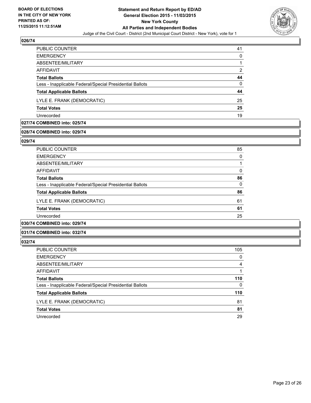

| PUBLIC COUNTER                                           | 41 |
|----------------------------------------------------------|----|
| <b>EMERGENCY</b>                                         | 0  |
| ABSENTEE/MILITARY                                        |    |
| AFFIDAVIT                                                | 2  |
| <b>Total Ballots</b>                                     | 44 |
| Less - Inapplicable Federal/Special Presidential Ballots | 0  |
| <b>Total Applicable Ballots</b>                          | 44 |
| LYLE E. FRANK (DEMOCRATIC)                               | 25 |
| <b>Total Votes</b>                                       | 25 |
| Unrecorded                                               | 19 |

## **027/74 COMBINED into: 025/74**

## **028/74 COMBINED into: 029/74**

**029/74** 

| <b>PUBLIC COUNTER</b>                                    | 85       |
|----------------------------------------------------------|----------|
| <b>EMERGENCY</b>                                         | 0        |
| ABSENTEE/MILITARY                                        |          |
| AFFIDAVIT                                                | 0        |
| <b>Total Ballots</b>                                     | 86       |
| Less - Inapplicable Federal/Special Presidential Ballots | $\Omega$ |
| <b>Total Applicable Ballots</b>                          | 86       |
| LYLE E. FRANK (DEMOCRATIC)                               | 61       |
| <b>Total Votes</b>                                       | 61       |
| Unrecorded                                               | 25       |
| $\sim$ - - $\sim$ - - $\sim$ - $\sim$ - $\sim$           |          |

## **030/74 COMBINED into: 029/74**

#### **031/74 COMBINED into: 032/74**

| <b>PUBLIC COUNTER</b>                                    | 105 |
|----------------------------------------------------------|-----|
| <b>EMERGENCY</b>                                         | 0   |
| ABSENTEE/MILITARY                                        | 4   |
| AFFIDAVIT                                                |     |
| <b>Total Ballots</b>                                     | 110 |
| Less - Inapplicable Federal/Special Presidential Ballots | 0   |
| <b>Total Applicable Ballots</b>                          | 110 |
| LYLE E. FRANK (DEMOCRATIC)                               | 81  |
| <b>Total Votes</b>                                       | 81  |
| Unrecorded                                               | 29  |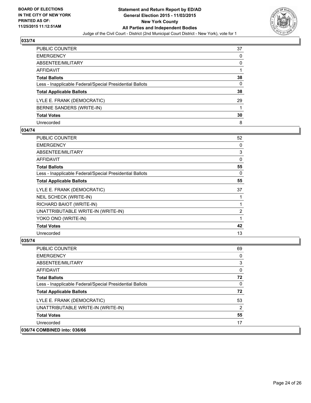

| PUBLIC COUNTER                                           | 37           |
|----------------------------------------------------------|--------------|
| <b>EMERGENCY</b>                                         | $\mathbf{0}$ |
| ABSENTEE/MILITARY                                        | 0            |
| AFFIDAVIT                                                |              |
| <b>Total Ballots</b>                                     | 38           |
| Less - Inapplicable Federal/Special Presidential Ballots | 0            |
| <b>Total Applicable Ballots</b>                          | 38           |
| LYLE E. FRANK (DEMOCRATIC)                               | 29           |
| BERNIE SANDERS (WRITE-IN)                                |              |
| <b>Total Votes</b>                                       | 30           |
| Unrecorded                                               | 8            |

#### **034/74**

| <b>PUBLIC COUNTER</b>                                    | 52             |
|----------------------------------------------------------|----------------|
| <b>EMERGENCY</b>                                         | 0              |
| ABSENTEE/MILITARY                                        | 3              |
| AFFIDAVIT                                                | 0              |
| <b>Total Ballots</b>                                     | 55             |
| Less - Inapplicable Federal/Special Presidential Ballots | 0              |
| <b>Total Applicable Ballots</b>                          | 55             |
| LYLE E. FRANK (DEMOCRATIC)                               | 37             |
| NEIL SCHECK (WRITE-IN)                                   |                |
| RICHARD BAIOT (WRITE-IN)                                 |                |
| UNATTRIBUTABLE WRITE-IN (WRITE-IN)                       | $\overline{2}$ |
| YOKO ONO (WRITE-IN)                                      |                |
| <b>Total Votes</b>                                       | 42             |
| Unrecorded                                               | 13             |

| <b>PUBLIC COUNTER</b>                                    | 69 |
|----------------------------------------------------------|----|
| <b>EMERGENCY</b>                                         | 0  |
| ABSENTEE/MILITARY                                        | 3  |
| AFFIDAVIT                                                | 0  |
| <b>Total Ballots</b>                                     | 72 |
| Less - Inapplicable Federal/Special Presidential Ballots | 0  |
| <b>Total Applicable Ballots</b>                          | 72 |
| LYLE E. FRANK (DEMOCRATIC)                               | 53 |
| UNATTRIBUTABLE WRITE-IN (WRITE-IN)                       | 2  |
| <b>Total Votes</b>                                       | 55 |
| Unrecorded                                               | 17 |
| 036/74 COMBINED into: 036/66                             |    |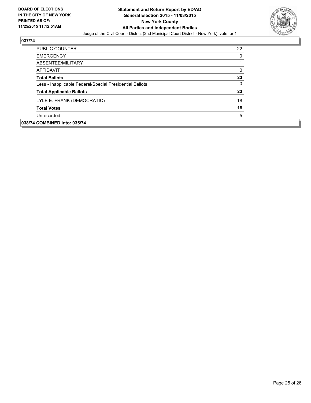

| <b>PUBLIC COUNTER</b>                                    | 22 |
|----------------------------------------------------------|----|
| <b>EMERGENCY</b>                                         | 0  |
| ABSENTEE/MILITARY                                        |    |
| <b>AFFIDAVIT</b>                                         | 0  |
| <b>Total Ballots</b>                                     | 23 |
| Less - Inapplicable Federal/Special Presidential Ballots | 0  |
| <b>Total Applicable Ballots</b>                          | 23 |
| LYLE E. FRANK (DEMOCRATIC)                               | 18 |
| <b>Total Votes</b>                                       | 18 |
| Unrecorded                                               | 5  |
| 038/74 COMBINED into: 035/74                             |    |